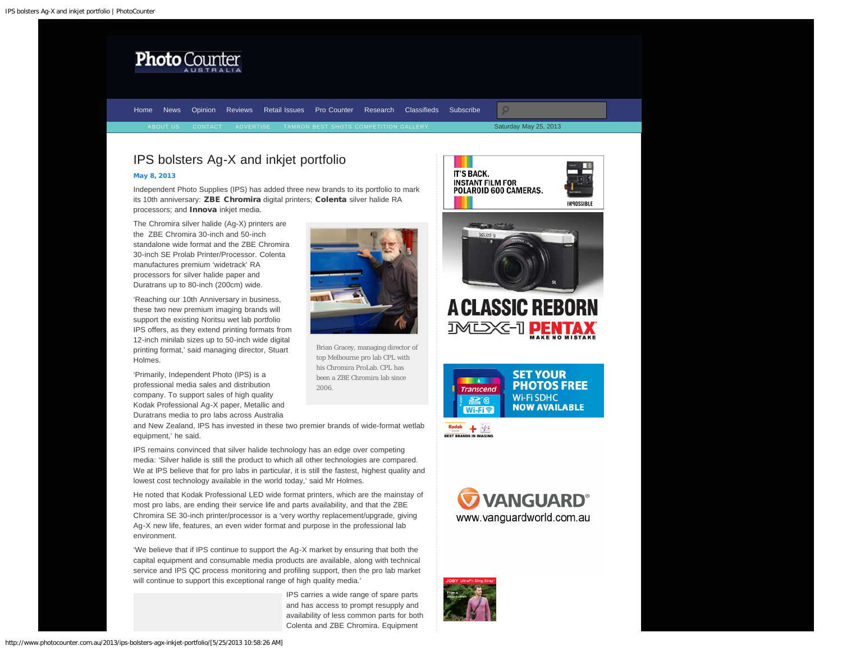<span id="page-0-0"></span>

[Home](http://www.photocounter.com.au/) [News](http://www.photocounter.com.au/category/news/) [Opinion](http://www.photocounter.com.au/category/opinion/) [Reviews](http://www.photoreview.com.au/reviews/) [Retail Issues](http://www.photocounter.com.au/category/retail-issues/) [Pro Counter](http://www.photocounter.com.au/category/pro-counter/) [Research](http://www.photocounter.com.au/category/research/) [Classifieds](http://www.photocounter.com.au/category/classifieds/) [Subscribe](http://www.photocounter.com.au/subscribe/)  $\circ$ Saturday May 25, 2013

## IPS bolsters Ag-X and inkjet portfolio

## [May 8, 2013](#page-0-0)

Independent Photo Supplies (IPS) has added three new brands to its portfolio to mark its 10th anniversary: ZBE Chromira digital printers; Colenta silver halide RA processors; and **Innova** inkjet media.

The Chromira silver halide (Ag-X) printers are the ZBE Chromira 30-inch and 50-inch standalone wide format and the ZBE Chromira 30-inch SE Prolab Printer/Processor. Colenta manufactures premium 'widetrack' RA processors for silver halide paper and Duratrans up to 80-inch (200cm) wide.

'Reaching our 10th Anniversary in business, these two new premium imaging brands will support the existing Noritsu wet lab portfolio IPS offers, as they extend printing formats from 12-inch minilab sizes up to 50-inch wide digital printing format,' said managing director, Stuart Holmes.

'Primarily, Independent Photo (IPS) is a professional media sales and distribution company. To support sales of high quality Kodak Professional Ag-X paper, Metallic and Duratrans media to pro labs across Australia

and New Zealand, IPS has invested in these two premier brands of wide-format wetlab equipment,' he said.

IPS remains convinced that silver halide technology has an edge over competing media: 'Silver halide is still the product to which all other technologies are compared. We at IPS believe that for pro labs in particular, it is still the fastest, highest quality and lowest cost technology available in the world today,' said Mr Holmes.

He noted that Kodak Professional LED wide format printers, which are the mainstay of most pro labs, are ending their service life and parts availability, and that the ZBE Chromira SE 30-inch printer/processor is a 'very worthy replacement/upgrade, giving Ag-X new life, features, an even wider format and purpose in the professional lab environment.

'We believe that if IPS continue to support the Ag-X market by ensuring that both the capital equipment and consumable media products are available, along with technical service and IPS QC process monitoring and profiling support, then the pro lab market will continue to support this exceptional range of high quality media.'

> IPS carries a wide range of spare parts and has access to prompt resupply and availability of less common parts for both Colenta and ZBE Chromira. Equipment



Brian Gracey, managing director of top Melbourne pro lab CPL with his Chromira ProLab. CPL has been a ZBE Chromira lab since 2006.